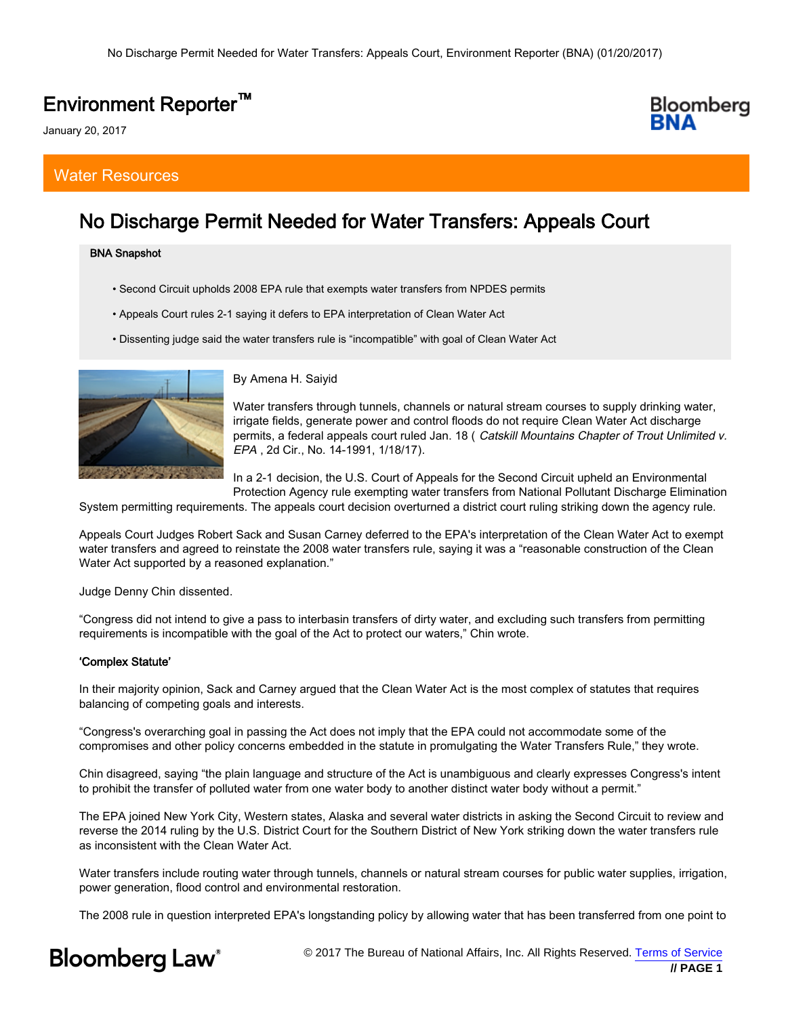## Environment Reporter™

January 20, 2017

### Water Resources

## No Discharge Permit Needed for Water Transfers: Appeals Court

#### BNA Snapshot

- Second Circuit upholds 2008 EPA rule that exempts water transfers from NPDES permits
- Appeals Court rules 2-1 saying it defers to EPA interpretation of Clean Water Act
- Dissenting judge said the water transfers rule is "incompatible" with goal of Clean Water Act



By Amena H. Saiyid

Water transfers through tunnels, channels or natural stream courses to supply drinking water, irrigate fields, generate power and control floods do not require Clean Water Act discharge permits, a federal appeals court ruled Jan. 18 ( Catskill Mountains Chapter of Trout Unlimited v. EPA , 2d Cir., No. 14-1991, 1/18/17).

In a 2-1 decision, the U.S. Court of Appeals for the Second Circuit upheld an Environmental Protection Agency rule exempting water transfers from National Pollutant Discharge Elimination

System permitting requirements. The appeals court decision overturned a district court ruling striking down the agency rule.

Appeals Court Judges Robert Sack and Susan Carney deferred to the EPA's interpretation of the Clean Water Act to exempt water transfers and agreed to reinstate the 2008 water transfers rule, saying it was a "reasonable construction of the Clean Water Act supported by a reasoned explanation."

Judge Denny Chin dissented.

"Congress did not intend to give a pass to interbasin transfers of dirty water, and excluding such transfers from permitting requirements is incompatible with the goal of the Act to protect our waters," Chin wrote.

#### 'Complex Statute'

In their majority opinion, Sack and Carney argued that the Clean Water Act is the most complex of statutes that requires balancing of competing goals and interests.

"Congress's overarching goal in passing the Act does not imply that the EPA could not accommodate some of the compromises and other policy concerns embedded in the statute in promulgating the Water Transfers Rule," they wrote.

Chin disagreed, saying "the plain language and structure of the Act is unambiguous and clearly expresses Congress's intent to prohibit the transfer of polluted water from one water body to another distinct water body without a permit."

The EPA joined New York City, Western states, Alaska and several water districts in asking the Second Circuit to review and reverse the 2014 ruling by the U.S. District Court for the Southern District of New York striking down the water transfers rule as inconsistent with the Clean Water Act.

Water transfers include routing water through tunnels, channels or natural stream courses for public water supplies, irrigation, power generation, flood control and environmental restoration.

The 2008 rule in question interpreted EPA's longstanding policy by allowing water that has been transferred from one point to

# **Bloomberg Law**<sup>®</sup>